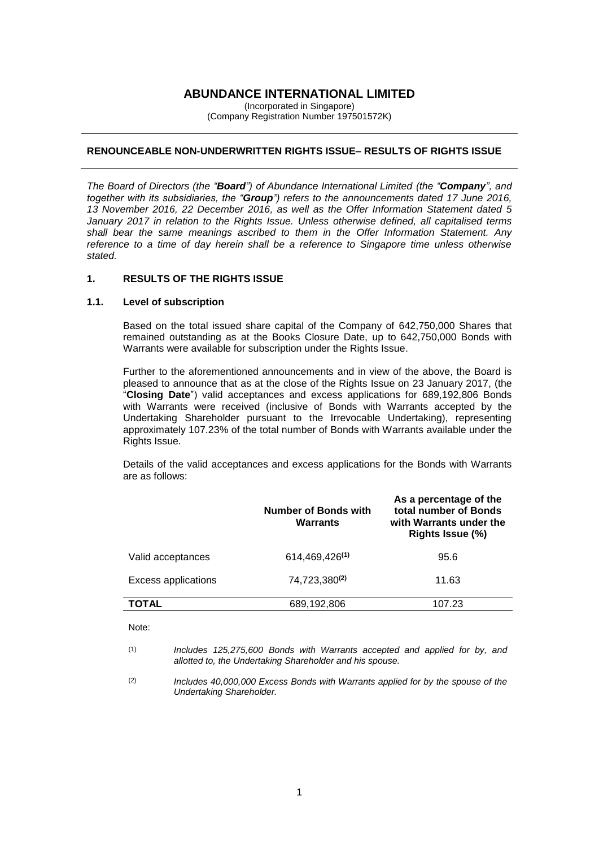## **ABUNDANCE INTERNATIONAL LIMITED**

(Incorporated in Singapore) (Company Registration Number 197501572K)

#### **RENOUNCEABLE NON-UNDERWRITTEN RIGHTS ISSUE– RESULTS OF RIGHTS ISSUE**

*The Board of Directors (the "Board") of Abundance International Limited (the "Company", and together with its subsidiaries, the "Group") refers to the announcements dated 17 June 2016, 13 November 2016, 22 December 2016, as well as the Offer Information Statement dated 5 January 2017 in relation to the Rights Issue. Unless otherwise defined, all capitalised terms shall bear the same meanings ascribed to them in the Offer Information Statement. Any reference to a time of day herein shall be a reference to Singapore time unless otherwise stated.*

#### **1. RESULTS OF THE RIGHTS ISSUE**

#### **1.1. Level of subscription**

Based on the total issued share capital of the Company of 642,750,000 Shares that remained outstanding as at the Books Closure Date, up to 642,750,000 Bonds with Warrants were available for subscription under the Rights Issue.

Further to the aforementioned announcements and in view of the above, the Board is pleased to announce that as at the close of the Rights Issue on 23 January 2017, (the "**Closing Date**") valid acceptances and excess applications for 689,192,806 Bonds with Warrants were received (inclusive of Bonds with Warrants accepted by the Undertaking Shareholder pursuant to the Irrevocable Undertaking), representing approximately 107.23% of the total number of Bonds with Warrants available under the Rights Issue.

Details of the valid acceptances and excess applications for the Bonds with Warrants are as follows:

|                            | <b>Number of Bonds with</b><br><b>Warrants</b> | As a percentage of the<br>total number of Bonds<br>with Warrants under the<br>Rights Issue (%) |  |
|----------------------------|------------------------------------------------|------------------------------------------------------------------------------------------------|--|
| Valid acceptances          | 614,469,426 <sup>(1)</sup>                     | 95.6                                                                                           |  |
| <b>Excess applications</b> | 74,723,380(2)                                  | 11.63                                                                                          |  |
| <b>TOTAL</b>               | 689,192,806                                    | 107.23                                                                                         |  |

Note:

(2) *Includes 40,000,000 Excess Bonds with Warrants applied for by the spouse of the Undertaking Shareholder.*

<sup>(1)</sup> *Includes 125,275,600 Bonds with Warrants accepted and applied for by, and allotted to, the Undertaking Shareholder and his spouse.*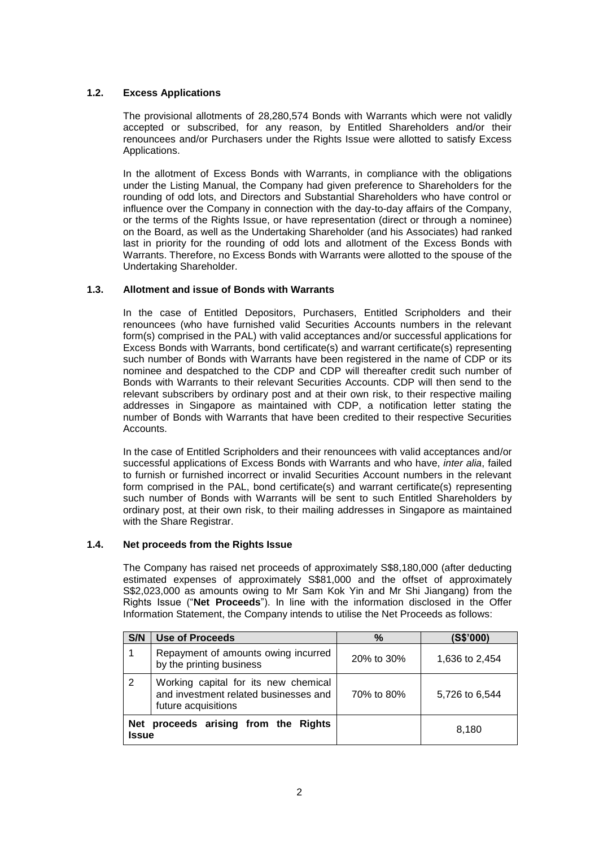# **1.2. Excess Applications**

The provisional allotments of 28,280,574 Bonds with Warrants which were not validly accepted or subscribed, for any reason, by Entitled Shareholders and/or their renouncees and/or Purchasers under the Rights Issue were allotted to satisfy Excess Applications.

In the allotment of Excess Bonds with Warrants, in compliance with the obligations under the Listing Manual, the Company had given preference to Shareholders for the rounding of odd lots, and Directors and Substantial Shareholders who have control or influence over the Company in connection with the day-to-day affairs of the Company, or the terms of the Rights Issue, or have representation (direct or through a nominee) on the Board, as well as the Undertaking Shareholder (and his Associates) had ranked last in priority for the rounding of odd lots and allotment of the Excess Bonds with Warrants. Therefore, no Excess Bonds with Warrants were allotted to the spouse of the Undertaking Shareholder.

## **1.3. Allotment and issue of Bonds with Warrants**

In the case of Entitled Depositors, Purchasers, Entitled Scripholders and their renouncees (who have furnished valid Securities Accounts numbers in the relevant form(s) comprised in the PAL) with valid acceptances and/or successful applications for Excess Bonds with Warrants, bond certificate(s) and warrant certificate(s) representing such number of Bonds with Warrants have been registered in the name of CDP or its nominee and despatched to the CDP and CDP will thereafter credit such number of Bonds with Warrants to their relevant Securities Accounts. CDP will then send to the relevant subscribers by ordinary post and at their own risk, to their respective mailing addresses in Singapore as maintained with CDP, a notification letter stating the number of Bonds with Warrants that have been credited to their respective Securities Accounts.

In the case of Entitled Scripholders and their renouncees with valid acceptances and/or successful applications of Excess Bonds with Warrants and who have, *inter alia*, failed to furnish or furnished incorrect or invalid Securities Account numbers in the relevant form comprised in the PAL, bond certificate(s) and warrant certificate(s) representing such number of Bonds with Warrants will be sent to such Entitled Shareholders by ordinary post, at their own risk, to their mailing addresses in Singapore as maintained with the Share Registrar.

#### **1.4. Net proceeds from the Rights Issue**

The Company has raised net proceeds of approximately S\$8,180,000 (after deducting estimated expenses of approximately S\$81,000 and the offset of approximately S\$2,023,000 as amounts owing to Mr Sam Kok Yin and Mr Shi Jiangang) from the Rights Issue ("**Net Proceeds**"). In line with the information disclosed in the Offer Information Statement, the Company intends to utilise the Net Proceeds as follows:

| S/N                                                            | <b>Use of Proceeds</b>                                                                               | $\%$       | (S\$'000)      |
|----------------------------------------------------------------|------------------------------------------------------------------------------------------------------|------------|----------------|
|                                                                | Repayment of amounts owing incurred<br>by the printing business                                      | 20% to 30% | 1,636 to 2,454 |
| 2                                                              | Working capital for its new chemical<br>and investment related businesses and<br>future acquisitions | 70% to 80% | 5,726 to 6,544 |
| proceeds arising from the Rights<br><b>Net</b><br><b>Issue</b> |                                                                                                      |            | 8.180          |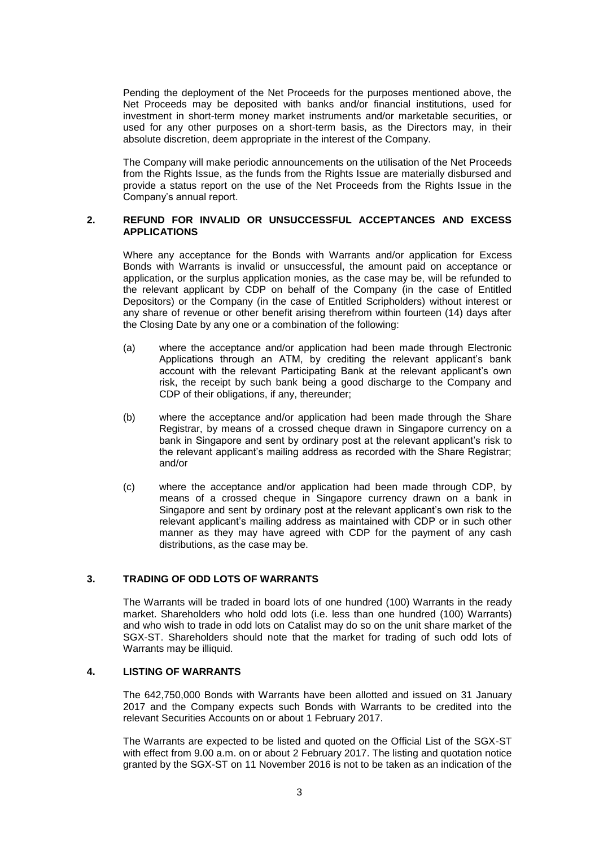Pending the deployment of the Net Proceeds for the purposes mentioned above, the Net Proceeds may be deposited with banks and/or financial institutions, used for investment in short-term money market instruments and/or marketable securities, or used for any other purposes on a short-term basis, as the Directors may, in their absolute discretion, deem appropriate in the interest of the Company.

The Company will make periodic announcements on the utilisation of the Net Proceeds from the Rights Issue, as the funds from the Rights Issue are materially disbursed and provide a status report on the use of the Net Proceeds from the Rights Issue in the Company's annual report.

#### **2. REFUND FOR INVALID OR UNSUCCESSFUL ACCEPTANCES AND EXCESS APPLICATIONS**

Where any acceptance for the Bonds with Warrants and/or application for Excess Bonds with Warrants is invalid or unsuccessful, the amount paid on acceptance or application, or the surplus application monies, as the case may be, will be refunded to the relevant applicant by CDP on behalf of the Company (in the case of Entitled Depositors) or the Company (in the case of Entitled Scripholders) without interest or any share of revenue or other benefit arising therefrom within fourteen (14) days after the Closing Date by any one or a combination of the following:

- (a) where the acceptance and/or application had been made through Electronic Applications through an ATM, by crediting the relevant applicant's bank account with the relevant Participating Bank at the relevant applicant's own risk, the receipt by such bank being a good discharge to the Company and CDP of their obligations, if any, thereunder;
- (b) where the acceptance and/or application had been made through the Share Registrar, by means of a crossed cheque drawn in Singapore currency on a bank in Singapore and sent by ordinary post at the relevant applicant's risk to the relevant applicant's mailing address as recorded with the Share Registrar; and/or
- (c) where the acceptance and/or application had been made through CDP, by means of a crossed cheque in Singapore currency drawn on a bank in Singapore and sent by ordinary post at the relevant applicant's own risk to the relevant applicant's mailing address as maintained with CDP or in such other manner as they may have agreed with CDP for the payment of any cash distributions, as the case may be.

## **3. TRADING OF ODD LOTS OF WARRANTS**

The Warrants will be traded in board lots of one hundred (100) Warrants in the ready market. Shareholders who hold odd lots (i.e. less than one hundred (100) Warrants) and who wish to trade in odd lots on Catalist may do so on the unit share market of the SGX-ST. Shareholders should note that the market for trading of such odd lots of Warrants may be illiquid.

# **4. LISTING OF WARRANTS**

The 642,750,000 Bonds with Warrants have been allotted and issued on 31 January 2017 and the Company expects such Bonds with Warrants to be credited into the relevant Securities Accounts on or about 1 February 2017.

The Warrants are expected to be listed and quoted on the Official List of the SGX-ST with effect from 9.00 a.m. on or about 2 February 2017. The listing and quotation notice granted by the SGX-ST on 11 November 2016 is not to be taken as an indication of the